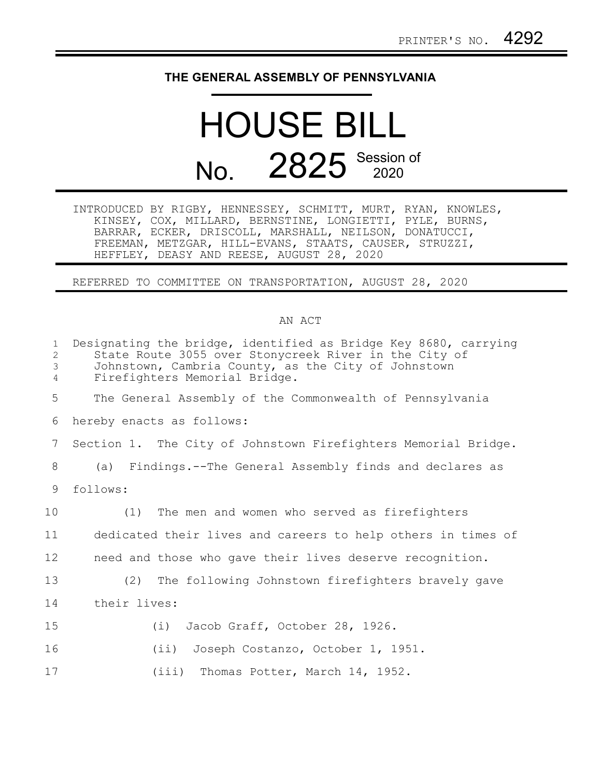## **THE GENERAL ASSEMBLY OF PENNSYLVANIA**

## HOUSE BILL No. 2825 Session of

|  | INTRODUCED BY RIGBY, HENNESSEY, SCHMITT, MURT, RYAN, KNOWLES, |  |  |
|--|---------------------------------------------------------------|--|--|
|  | KINSEY, COX, MILLARD, BERNSTINE, LONGIETTI, PYLE, BURNS,      |  |  |
|  | BARRAR, ECKER, DRISCOLL, MARSHALL, NEILSON, DONATUCCI,        |  |  |
|  | FREEMAN, METZGAR, HILL-EVANS, STAATS, CAUSER, STRUZZI,        |  |  |
|  | HEFFLEY, DEASY AND REESE, AUGUST 28, 2020                     |  |  |

REFERRED TO COMMITTEE ON TRANSPORTATION, AUGUST 28, 2020

## AN ACT

| $\mathbf{1}$<br>$\overline{2}$<br>$\mathfrak{Z}$<br>4 | Designating the bridge, identified as Bridge Key 8680, carrying<br>State Route 3055 over Stonycreek River in the City of<br>Johnstown, Cambria County, as the City of Johnstown<br>Firefighters Memorial Bridge. |  |  |  |  |  |  |
|-------------------------------------------------------|------------------------------------------------------------------------------------------------------------------------------------------------------------------------------------------------------------------|--|--|--|--|--|--|
| 5                                                     | The General Assembly of the Commonwealth of Pennsylvania                                                                                                                                                         |  |  |  |  |  |  |
| 6                                                     | hereby enacts as follows:                                                                                                                                                                                        |  |  |  |  |  |  |
| $7\phantom{.}$                                        | Section 1. The City of Johnstown Firefighters Memorial Bridge.                                                                                                                                                   |  |  |  |  |  |  |
| 8                                                     | (a) Findings.--The General Assembly finds and declares as                                                                                                                                                        |  |  |  |  |  |  |
| 9                                                     | follows:                                                                                                                                                                                                         |  |  |  |  |  |  |
| 10                                                    | (1) The men and women who served as firefighters                                                                                                                                                                 |  |  |  |  |  |  |
| 11                                                    | dedicated their lives and careers to help others in times of                                                                                                                                                     |  |  |  |  |  |  |
| 12                                                    | need and those who gave their lives deserve recognition.                                                                                                                                                         |  |  |  |  |  |  |
| 13                                                    | (2) The following Johnstown firefighters bravely gave                                                                                                                                                            |  |  |  |  |  |  |
| 14                                                    | their lives:                                                                                                                                                                                                     |  |  |  |  |  |  |
| 15                                                    | Jacob Graff, October 28, 1926.<br>(i)                                                                                                                                                                            |  |  |  |  |  |  |
| 16                                                    | Joseph Costanzo, October 1, 1951.<br>$(i$ i)                                                                                                                                                                     |  |  |  |  |  |  |
| 17                                                    | (iii) Thomas Potter, March 14, 1952.                                                                                                                                                                             |  |  |  |  |  |  |